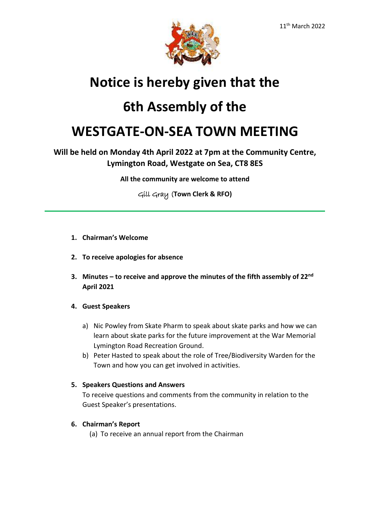

# **Notice is hereby given that the**

## **6th Assembly of the**

## **WESTGATE-ON-SEA TOWN MEETING**

## **Will be held on Monday 4th April 2022 at 7pm at the Community Centre, Lymington Road, Westgate on Sea, CT8 8ES**

**All the community are welcome to attend**

Gill Gray (**Town Clerk & RFO)**

- **1. Chairman's Welcome**
- **2. To receive apologies for absence**
- **3. Minutes – to receive and approve the minutes of the fifth assembly of 22nd April 2021**

## **4. Guest Speakers**

- a) Nic Powley from Skate Pharm to speak about skate parks and how we can learn about skate parks for the future improvement at the War Memorial Lymington Road Recreation Ground.
- b) Peter Hasted to speak about the role of Tree/Biodiversity Warden for the Town and how you can get involved in activities.

## **5. Speakers Questions and Answers**

To receive questions and comments from the community in relation to the Guest Speaker's presentations.

## **6. Chairman's Report**

(a) To receive an annual report from the Chairman